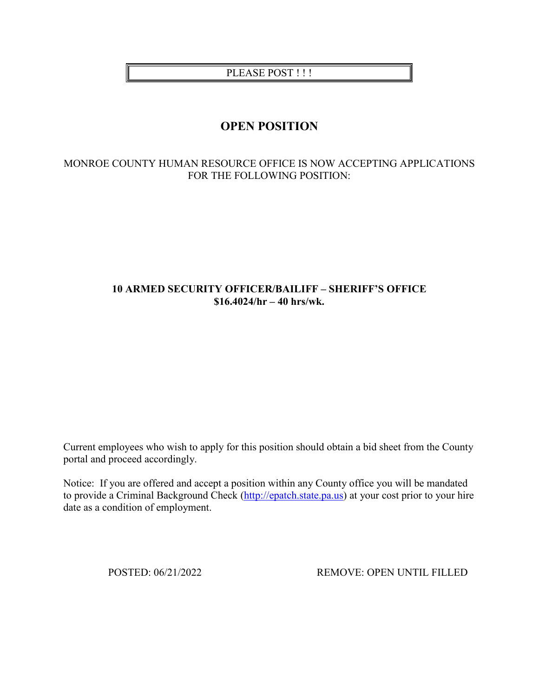PLEASE POST !!!

# **OPEN POSITION**

# MONROE COUNTY HUMAN RESOURCE OFFICE IS NOW ACCEPTING APPLICATIONS FOR THE FOLLOWING POSITION:

# **10 ARMED SECURITY OFFICER/BAILIFF – SHERIFF'S OFFICE \$16.4024/hr – 40 hrs/wk.**

Current employees who wish to apply for this position should obtain a bid sheet from the County portal and proceed accordingly.

Notice: If you are offered and accept a position within any County office you will be mandated to provide a Criminal Background Check [\(http://epatch.state.pa.us\)](http://epatch.state.pa.us/) at your cost prior to your hire date as a condition of employment.

POSTED: 06/21/2022 REMOVE: OPEN UNTIL FILLED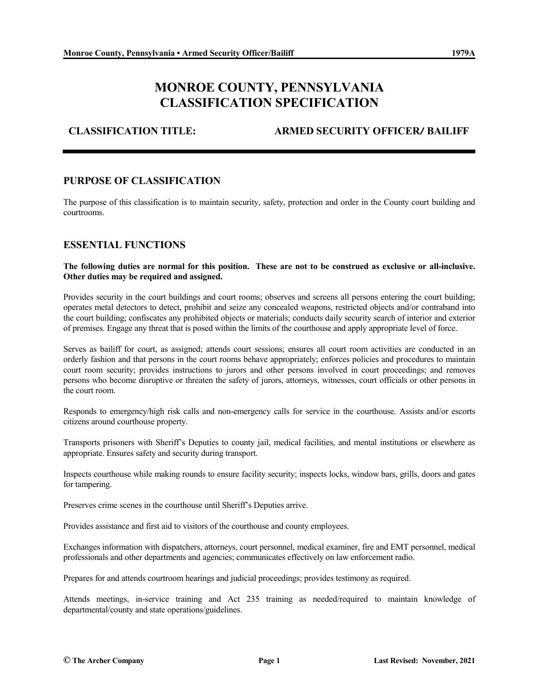# **MONROE COUNTY, PENNSYLVANIA CLASSIFICATION SPECIFICATION**

**CLASSIFICATION TITLE: ARMED SECURITY OFFICER/ BAILIFF**

## **PURPOSE OF CLASSIFICATION**

The purpose of this classification is to maintain security, safety, protection and order in the County court building and courtrooms.

### **ESSENTIAL FUNCTIONS**

**The following duties are normal for this position. These are not to be construed as exclusive or all-inclusive. Other duties may be required and assigned.**

Provides security in the court buildings and court rooms; observes and screens all persons entering the court building; operates metal detectors to detect, prohibit and seize any concealed weapons, restricted objects and/or contraband into the court building; confiscates any prohibited objects or materials; conducts daily security search of interior and exterior of premises. Engage any threat that is posed within the limits of the courthouse and apply appropriate level of force.

Serves as bailiff for court, as assigned; attends court sessions; ensures all court room activities are conducted in an orderly fashion and that persons in the court rooms behave appropriately; enforces policies and procedures to maintain court room security; provides instructions to jurors and other persons involved in court proceedings; and removes persons who become disruptive or threaten the safety of jurors, attorneys, witnesses, court officials or other persons in the court room.

Responds to emergency/high risk calls and non-emergency calls for service in the courthouse. Assists and/or escorts citizens around courthouse property.

Transports prisoners with Sheriff's Deputies to county jail, medical facilities, and mental institutions or elsewhere as appropriate. Ensures safety and security during transport.

Inspects courthouse while making rounds to ensure facility security; inspects locks, window bars, grills, doors and gates for tampering.

Preserves crime scenes in the courthouse until Sheriff's Deputies arrive.

Provides assistance and first aid to visitors of the courthouse and county employees.

Exchanges information with dispatchers, attorneys, court personnel, medical examiner, fire and EMT personnel, medical professionals and other departments and agencies; communicates effectively on law enforcement radio.

Prepares for and attends courtroom hearings and judicial proceedings; provides testimony as required.

Attends meetings, in-service training and Act 235 training as needed/required to maintain knowledge of departmental/county and state operations/guidelines.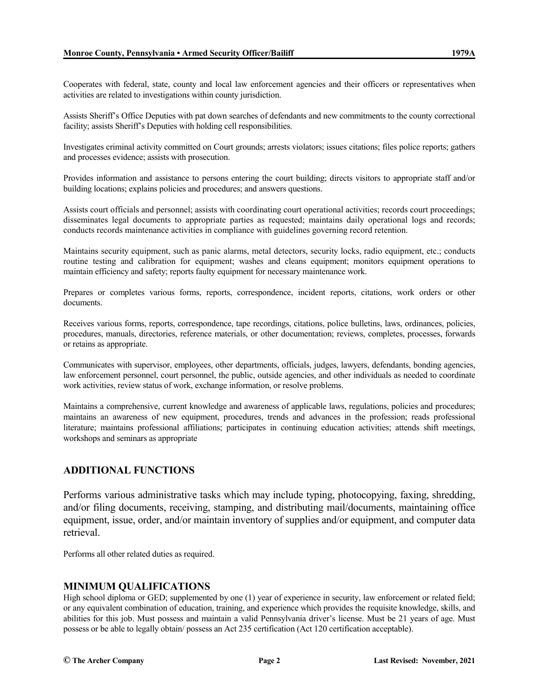Cooperates with federal, state, county and local law enforcement agencies and their officers or representatives when activities are related to investigations within county jurisdiction.

Assists Sheriff's Office Deputies with pat down searches of defendants and new commitments to the county correctional facility; assists Sheriff's Deputies with holding cell responsibilities.

Investigates criminal activity committed on Court grounds; arrests violators; issues citations; files police reports; gathers and processes evidence; assists with prosecution.

Provides information and assistance to persons entering the court building; directs visitors to appropriate staff and/or building locations; explains policies and procedures; and answers questions.

Assists court officials and personnel; assists with coordinating court operational activities; records court proceedings; disseminates legal documents to appropriate parties as requested; maintains daily operational logs and records; conducts records maintenance activities in compliance with guidelines governing record retention.

Maintains security equipment, such as panic alarms, metal detectors, security locks, radio equipment, etc.; conducts routine testing and calibration for equipment; washes and cleans equipment; monitors equipment operations to maintain efficiency and safety; reports faulty equipment for necessary maintenance work.

Prepares or completes various forms, reports, correspondence, incident reports, citations, work orders or other documents.

Receives various forms, reports, correspondence, tape recordings, citations, police bulletins, laws, ordinances, policies, procedures, manuals, directories, reference materials, or other documentation; reviews, completes, processes, forwards or retains as appropriate.

Communicates with supervisor, employees, other departments, officials, judges, lawyers, defendants, bonding agencies, law enforcement personnel, court personnel, the public, outside agencies, and other individuals as needed to coordinate work activities, review status of work, exchange information, or resolve problems.

Maintains a comprehensive, current knowledge and awareness of applicable laws, regulations, policies and procedures; maintains an awareness of new equipment, procedures, trends and advances in the profession; reads professional literature; maintains professional affiliations; participates in continuing education activities; attends shift meetings, workshops and seminars as appropriate

### **ADDITIONAL FUNCTIONS**

Performs various administrative tasks which may include typing, photocopying, faxing, shredding, and/or filing documents, receiving, stamping, and distributing mail/documents, maintaining office equipment, issue, order, and/or maintain inventory of supplies and/or equipment, and computer data retrieval.

Performs all other related duties as required.

#### **MINIMUM QUALIFICATIONS**

High school diploma or GED; supplemented by one (1) year of experience in security, law enforcement or related field; or any equivalent combination of education, training, and experience which provides the requisite knowledge, skills, and abilities for this job. Must possess and maintain a valid Pennsylvania driver's license. Must be 21 years of age. Must possess or be able to legally obtain/ possess an Act 235 certification (Act 120 certification acceptable).